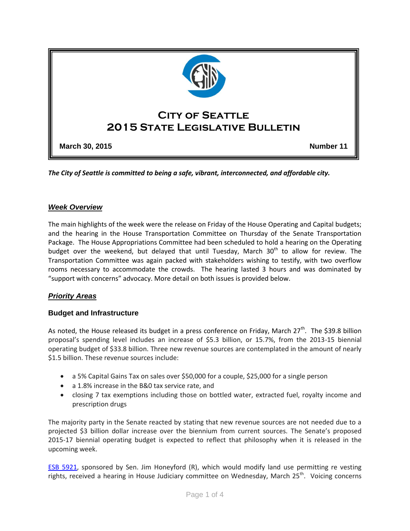

*The City of Seattle is committed to being a safe, vibrant, interconnected, and affordable city.* 

#### *Week Overview*

The main highlights of the week were the release on Friday of the House Operating and Capital budgets; and the hearing in the House Transportation Committee on Thursday of the Senate Transportation Package. The House Appropriations Committee had been scheduled to hold a hearing on the Operating budget over the weekend, but delayed that until Tuesday, March  $30<sup>th</sup>$  to allow for review. The Transportation Committee was again packed with stakeholders wishing to testify, with two overflow rooms necessary to accommodate the crowds. The hearing lasted 3 hours and was dominated by "support with concerns" advocacy. More detail on both issues is provided below.

# *Priority Areas*

#### **Budget and Infrastructure**

As noted, the House released its budget in a press conference on Friday, March 27<sup>th</sup>. The \$39.8 billion proposal's spending level includes an increase of \$5.3 billion, or 15.7%, from the 2013-15 biennial operating budget of \$33.8 billion. Three new revenue sources are contemplated in the amount of nearly \$1.5 billion. These revenue sources include:

- a 5% Capital Gains Tax on sales over \$50,000 for a couple, \$25,000 for a single person
- a 1.8% increase in the B&0 tax service rate, and
- closing 7 tax exemptions including those on bottled water, extracted fuel, royalty income and prescription drugs

The majority party in the Senate reacted by stating that new revenue sources are not needed due to a projected \$3 billion dollar increase over the biennium from current sources. The Senate's proposed 2015-17 biennial operating budget is expected to reflect that philosophy when it is released in the upcoming week.

[ESB 5921,](http://app.leg.wa.gov/billinfo/summary.aspx?bill=5921&year=2015) sponsored by Sen. Jim Honeyford (R), which would modify land use permitting re vesting rights, received a hearing in House Judiciary committee on Wednesday, March 25<sup>th</sup>. Voicing concerns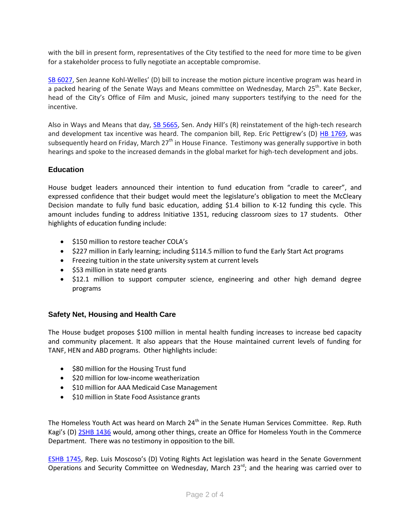with the bill in present form, representatives of the City testified to the need for more time to be given for a stakeholder process to fully negotiate an acceptable compromise.

[SB 6027,](http://app.leg.wa.gov/billinfo/summary.aspx?bill=6027&year=2015) Sen Jeanne Kohl-Welles' (D) bill to increase the motion picture incentive program was heard in a packed hearing of the Senate Ways and Means committee on Wednesday, March 25<sup>th</sup>. Kate Becker, head of the City's Office of Film and Music, joined many supporters testifying to the need for the incentive.

Also in Ways and Means that day, [SB 5665](http://app.leg.wa.gov/billinfo/summary.aspx?bill=5665&year=2015), Sen. Andy Hill's (R) reinstatement of the high-tech research and development tax incentive was heard. The companion bill, Rep. Eric Pettigrew's (D) [HB 1769,](http://app.leg.wa.gov/billinfo/summary.aspx?bill=1769&year=2015) was subsequently heard on Friday, March  $27<sup>th</sup>$  in House Finance. Testimony was generally supportive in both hearings and spoke to the increased demands in the global market for high-tech development and jobs.

## **Education**

House budget leaders announced their intention to fund education from "cradle to career", and expressed confidence that their budget would meet the legislature's obligation to meet the McCleary Decision mandate to fully fund basic education, adding \$1.4 billion to K-12 funding this cycle. This amount includes funding to address Initiative 1351, reducing classroom sizes to 17 students. Other highlights of education funding include:

- \$150 million to restore teacher COLA's
- \$227 million in Early learning; including \$114.5 million to fund the Early Start Act programs
- Freezing tuition in the state university system at current levels
- \$53 million in state need grants
- \$12.1 million to support computer science, engineering and other high demand degree programs

# **Safety Net, Housing and Health Care**

The House budget proposes \$100 million in mental health funding increases to increase bed capacity and community placement. It also appears that the House maintained current levels of funding for TANF, HEN and ABD programs. Other highlights include:

- \$80 million for the Housing Trust fund
- $\bullet$  \$20 million for low-income weatherization
- $\bullet$  \$10 million for AAA Medicaid Case Management
- \$10 million in State Food Assistance grants

The Homeless Youth Act was heard on March 24<sup>th</sup> in the Senate Human Services Committee. Rep. Ruth Kagi's (D) [2SHB 1436](http://app.leg.wa.gov/billinfo/summary.aspx?bill=1436&year=2015) would, among other things, create an Office for Homeless Youth in the Commerce Department. There was no testimony in opposition to the bill.

[ESHB 1745](http://app.leg.wa.gov/billinfo/summary.aspx?bill=1745&year=2015), Rep. Luis Moscoso's (D) Voting Rights Act legislation was heard in the Senate Government Operations and Security Committee on Wednesday, March  $23^{rd}$ ; and the hearing was carried over to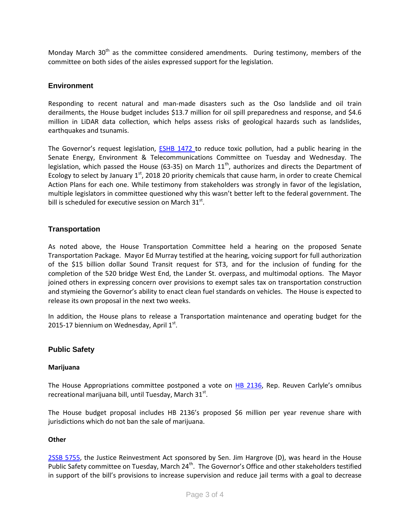Monday March 30<sup>th</sup> as the committee considered amendments. During testimony, members of the committee on both sides of the aisles expressed support for the legislation.

### **Environment**

Responding to recent natural and man-made disasters such as the Oso landslide and oil train derailments, the House budget includes \$13.7 million for oil spill preparedness and response, and \$4.6 million in LiDAR data collection, which helps assess risks of geological hazards such as landslides, earthquakes and tsunamis.

The Governor's reques[t](http://app.leg.wa.gov/billinfo/summary.aspx?bill=1472&y) legislation, **[ESHB 1472](http://app.leg.wa.gov/billinfo/summary.aspx?bill=1472&y)** to reduce toxic pollution, had a public hearing in the Senate Energy, Environment & Telecommunications Committee on Tuesday and Wednesday. The legislation, which passed the House (63-35) on March  $11<sup>th</sup>$ , authorizes and directs the Department of Ecology to select by January  $1<sup>st</sup>$ , 2018 20 priority chemicals that cause harm, in order to create Chemical Action Plans for each one. While testimony from stakeholders was strongly in favor of the legislation, multiple legislators in committee questioned why this wasn't better left to the federal government. The bill is scheduled for executive session on March  $31^{st}$ .

## **Transportation**

As noted above, the House Transportation Committee held a hearing on the proposed Senate Transportation Package. Mayor Ed Murray testified at the hearing, voicing support for full authorization of the \$15 billion dollar Sound Transit request for ST3, and for the inclusion of funding for the completion of the 520 bridge West End, the Lander St. overpass, and multimodal options. The Mayor joined others in expressing concern over provisions to exempt sales tax on transportation construction and stymieing the Governor's ability to enact clean fuel standards on vehicles. The House is expected to release its own proposal in the next two weeks.

In addition, the House plans to release a Transportation maintenance and operating budget for the 2015-17 biennium on Wednesday, April  $1<sup>st</sup>$ .

#### **Public Safety**

#### **Marijuana**

The House Appropriations committee postponed a vote on [HB 2136,](http://app.leg.wa.gov/billinfo/summary.aspx?bill=2136&year=2015) Rep. Reuven Carlyle's omnibus recreational marijuana bill, until Tuesday, March 31st.

The House budget proposal includes HB 2136's proposed \$6 million per year revenue share with jurisdictions which do not ban the sale of marijuana.

#### **Other**

[2SSB 5755,](http://app.leg.wa.gov/billinfo/summary.aspx?bill=5755&year=2015) the Justice Reinvestment Act sponsored by Sen. Jim Hargrove (D), was heard in the House Public Safety committee on Tuesday, March 24<sup>th</sup>. The Governor's Office and other stakeholders testified in support of the bill's provisions to increase supervision and reduce jail terms with a goal to decrease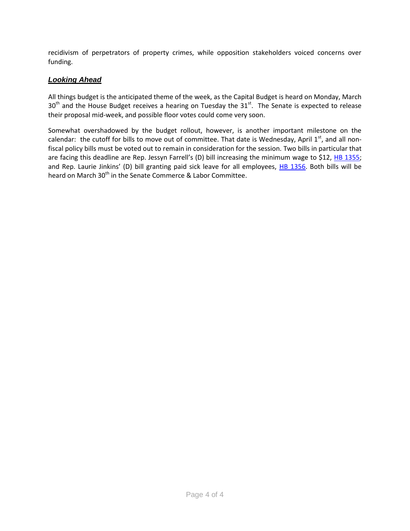recidivism of perpetrators of property crimes, while opposition stakeholders voiced concerns over funding.

# *Looking Ahead*

All things budget is the anticipated theme of the week, as the Capital Budget is heard on Monday, March  $30<sup>th</sup>$  and the House Budget receives a hearing on Tuesday the  $31<sup>st</sup>$ . The Senate is expected to release their proposal mid-week, and possible floor votes could come very soon.

Somewhat overshadowed by the budget rollout, however, is another important milestone on the calendar: the cutoff for bills to move out of committee. That date is Wednesday, April  $1<sup>st</sup>$ , and all nonfiscal policy bills must be voted out to remain in consideration for the session. Two bills in particular that are facing this deadline are Rep. Jessyn Farrell's (D) bill increasing the minimum wage to \$12, [HB 1355;](http://app.leg.wa.gov/billinfo/summary.aspx?bill=1355&year=2015) and Rep. Laurie Jinkins' (D) bill granting paid sick leave for all employees, [HB 1356.](http://app.leg.wa.gov/billinfo/summary.aspx?bill=1356&year=2015) Both bills will be heard on March 30<sup>th</sup> in the Senate Commerce & Labor Committee.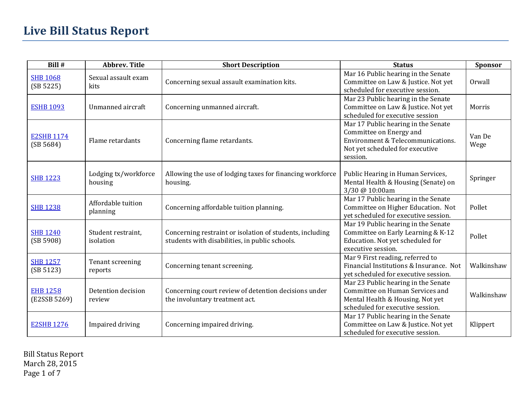# **Live Bill Status Report**

| Bill #                          | <b>Abbrev. Title</b>            | <b>Short Description</b>                                                                                   | <b>Status</b>                                                                                                                                      | Sponsor        |
|---------------------------------|---------------------------------|------------------------------------------------------------------------------------------------------------|----------------------------------------------------------------------------------------------------------------------------------------------------|----------------|
| <b>SHB 1068</b><br>(SB 5225)    | Sexual assault exam<br>kits     | Concerning sexual assault examination kits.                                                                | Mar 16 Public hearing in the Senate<br>Committee on Law & Justice. Not yet<br>scheduled for executive session.                                     | Orwall         |
| <b>ESHB 1093</b>                | Unmanned aircraft               | Concerning unmanned aircraft.                                                                              | Mar 23 Public hearing in the Senate<br>Committee on Law & Justice. Not yet<br>scheduled for executive session                                      | Morris         |
| <b>E2SHB 1174</b><br>(SB 5684)  | Flame retardants                | Concerning flame retardants.                                                                               | Mar 17 Public hearing in the Senate<br>Committee on Energy and<br>Environment & Telecommunications.<br>Not yet scheduled for executive<br>session. | Van De<br>Wege |
| <b>SHB 1223</b>                 | Lodging tx/workforce<br>housing | Allowing the use of lodging taxes for financing workforce<br>housing.                                      | Public Hearing in Human Services,<br>Mental Health & Housing (Senate) on<br>3/30 @ 10:00am                                                         | Springer       |
| <b>SHB 1238</b>                 | Affordable tuition<br>planning  | Concerning affordable tuition planning.                                                                    | Mar 17 Public hearing in the Senate<br>Committee on Higher Education. Not<br>yet scheduled for executive session.                                  | Pollet         |
| <b>SHB 1240</b><br>(SB 5908)    | Student restraint,<br>isolation | Concerning restraint or isolation of students, including<br>students with disabilities, in public schools. | Mar 19 Public hearing in the Senate<br>Committee on Early Learning & K-12<br>Education. Not yet scheduled for<br>executive session.                | Pollet         |
| <b>SHB 1257</b><br>(SB 5123)    | Tenant screening<br>reports     | Concerning tenant screening.                                                                               | Mar 9 First reading, referred to<br>Financial Institutions & Insurance. Not<br>yet scheduled for executive session.                                | Walkinshaw     |
| <b>EHB 1258</b><br>(E2SSB 5269) | Detention decision<br>review    | Concerning court review of detention decisions under<br>the involuntary treatment act.                     | Mar 23 Public hearing in the Senate<br>Committee on Human Services and<br>Mental Health & Housing. Not yet<br>scheduled for executive session.     | Walkinshaw     |
| <b>E2SHB 1276</b>               | Impaired driving                | Concerning impaired driving.                                                                               | Mar 17 Public hearing in the Senate<br>Committee on Law & Justice. Not yet<br>scheduled for executive session.                                     | Klippert       |

Bill Status Report March 28, 2015 Page 1 of 7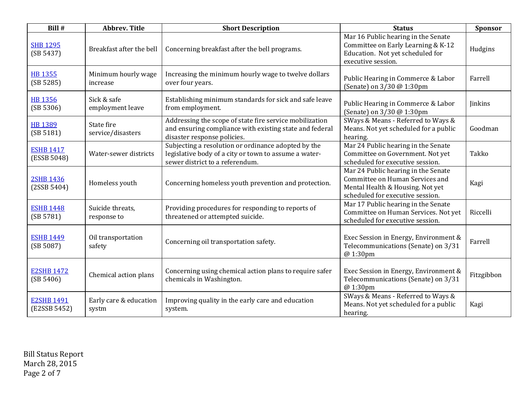| Bill #                            | <b>Abbrev. Title</b>            | <b>Short Description</b>                                                                                                                          | <b>Status</b>                                                                                                                                  | Sponsor    |
|-----------------------------------|---------------------------------|---------------------------------------------------------------------------------------------------------------------------------------------------|------------------------------------------------------------------------------------------------------------------------------------------------|------------|
| <b>SHB 1295</b><br>(SB 5437)      | Breakfast after the bell        | Concerning breakfast after the bell programs.                                                                                                     | Mar 16 Public hearing in the Senate<br>Committee on Early Learning & K-12<br>Education. Not yet scheduled for<br>executive session.            | Hudgins    |
| <b>HB 1355</b><br>(SB 5285)       | Minimum hourly wage<br>increase | Increasing the minimum hourly wage to twelve dollars<br>over four years.                                                                          | Public Hearing in Commerce & Labor<br>(Senate) on 3/30 @ 1:30pm                                                                                | Farrell    |
| <b>HB 1356</b><br>(SB 5306)       | Sick & safe<br>employment leave | Establishing minimum standards for sick and safe leave<br>from employment.                                                                        | Public Hearing in Commerce & Labor<br>(Senate) on 3/30 @ 1:30pm                                                                                | Jinkins    |
| <b>HB 1389</b><br>(SB 5181)       | State fire<br>service/disasters | Addressing the scope of state fire service mobilization<br>and ensuring compliance with existing state and federal<br>disaster response policies. | SWays & Means - Referred to Ways &<br>Means. Not yet scheduled for a public<br>hearing.                                                        | Goodman    |
| <b>ESHB 1417</b><br>(ESSB 5048)   | Water-sewer districts           | Subjecting a resolution or ordinance adopted by the<br>legislative body of a city or town to assume a water-<br>sewer district to a referendum.   | Mar 24 Public hearing in the Senate<br>Committee on Government. Not yet<br>scheduled for executive session.                                    | Takko      |
| <b>2SHB 1436</b><br>(2SSB 5404)   | Homeless youth                  | Concerning homeless youth prevention and protection.                                                                                              | Mar 24 Public hearing in the Senate<br>Committee on Human Services and<br>Mental Health & Housing. Not yet<br>scheduled for executive session. | Kagi       |
| <b>ESHB 1448</b><br>(SB 5781)     | Suicide threats,<br>response to | Providing procedures for responding to reports of<br>threatened or attempted suicide.                                                             | Mar 17 Public hearing in the Senate<br>Committee on Human Services. Not yet<br>scheduled for executive session.                                | Riccelli   |
| <b>ESHB 1449</b><br>(SB 5087)     | Oil transportation<br>safety    | Concerning oil transportation safety.                                                                                                             | Exec Session in Energy, Environment &<br>Telecommunications (Senate) on 3/31<br>@ 1:30pm                                                       | Farrell    |
| <b>E2SHB 1472</b><br>(SB 5406)    | Chemical action plans           | Concerning using chemical action plans to require safer<br>chemicals in Washington.                                                               | Exec Session in Energy, Environment &<br>Telecommunications (Senate) on 3/31<br>@ 1:30pm                                                       | Fitzgibbon |
| <b>E2SHB 1491</b><br>(E2SSB 5452) | Early care & education<br>systm | Improving quality in the early care and education<br>system.                                                                                      | SWays & Means - Referred to Ways &<br>Means. Not yet scheduled for a public<br>hearing.                                                        | Kagi       |

Bill Status Report March 28, 2015 Page 2 of 7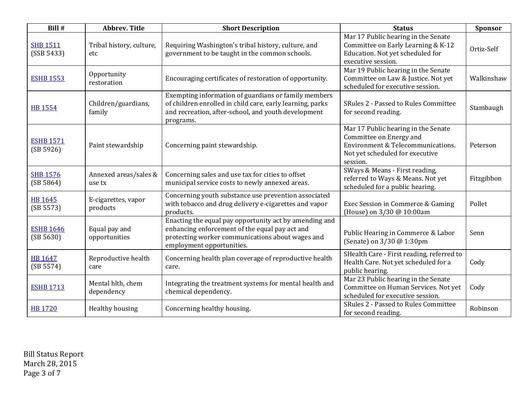| Bill #                        | <b>Abbrev. Title</b>            | <b>Short Description</b>                                                                                                                                                                  | <b>Status</b>                                                                                                                                      | Sponsor    |
|-------------------------------|---------------------------------|-------------------------------------------------------------------------------------------------------------------------------------------------------------------------------------------|----------------------------------------------------------------------------------------------------------------------------------------------------|------------|
| <b>SHB 1511</b><br>(SSB 5433) | Tribal history, culture,<br>etc | Requiring Washington's tribal history, culture, and<br>government to be taught in the common schools.                                                                                     | Mar 17 Public hearing in the Senate<br>Committee on Early Learning & K-12<br>Education. Not yet scheduled for<br>executive session.                | Ortiz-Self |
| <b>ESHB 1553</b>              | Opportunity<br>restoration      | Encouraging certificates of restoration of opportunity.                                                                                                                                   | Mar 19 Public hearing in the Senate<br>Committee on Law & Justice. Not yet<br>scheduled for executive session.                                     | Walkinshaw |
| <b>HB 1554</b>                | Children/guardians,<br>family   | Exempting information of guardians or family members<br>of children enrolled in child care, early learning, parks<br>and recreation, after-school, and youth development<br>programs.     | SRules 2 - Passed to Rules Committee<br>for second reading.                                                                                        | Stambaugh  |
| <b>ESHB 1571</b><br>(SB 5926) | Paint stewardship               | Concerning paint stewardship.                                                                                                                                                             | Mar 17 Public hearing in the Senate<br>Committee on Energy and<br>Environment & Telecommunications.<br>Not yet scheduled for executive<br>session. | Peterson   |
| <b>SHB 1576</b><br>(SB 5864)  | Annexed areas/sales &<br>use tx | Concerning sales and use tax for cities to offset<br>municipal service costs to newly annexed areas.                                                                                      | SWays & Means - First reading,<br>referred to Ways & Means. Not yet<br>scheduled for a public hearing.                                             | Fitzgibbon |
| <b>HB 1645</b><br>(SB 5573)   | E-cigarettes, vapor<br>products | Concerning youth substance use prevention associated<br>with tobacco and drug delivery e-cigarettes and vapor<br>products.                                                                | Exec Session in Commerce & Gaming<br>(House) on 3/30 @ 10:00am                                                                                     | Pollet     |
| <b>ESHB 1646</b><br>(SB 5630) | Equal pay and<br>opportunities  | Enacting the equal pay opportunity act by amending and<br>enhancing enforcement of the equal pay act and<br>protecting worker communications about wages and<br>employment opportunities. | Public Hearing in Commerce & Labor<br>(Senate) on 3/30 @ 1:30pm                                                                                    | Senn       |
| <b>HB 1647</b><br>(SB 5574)   | Reproductive health<br>care     | Concerning health plan coverage of reproductive health<br>care.                                                                                                                           | SHealth Care - First reading, referred to<br>Health Care. Not yet scheduled for a<br>public hearing.                                               | Cody       |
| <b>ESHB 1713</b>              | Mental hlth, chem<br>dependency | Integrating the treatment systems for mental health and<br>chemical dependency.                                                                                                           | Mar 23 Public hearing in the Senate<br>Committee on Human Services. Not yet<br>scheduled for executive session.                                    | Cody       |
| <b>HB 1720</b>                | Healthy housing                 | Concerning healthy housing.                                                                                                                                                               | <b>SRules 2 - Passed to Rules Committee</b><br>for second reading.                                                                                 | Robinson   |

Bill Status Report March 28, 2015 Page 3 of 7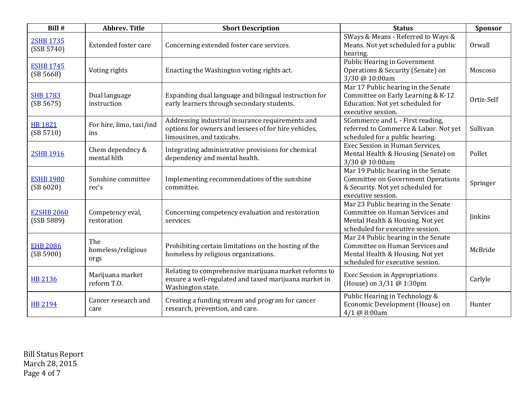| Bill #                          | <b>Abbrev. Title</b>              | <b>Short Description</b>                                                                                                              | <b>Status</b>                                                                                                                                  | Sponsor        |
|---------------------------------|-----------------------------------|---------------------------------------------------------------------------------------------------------------------------------------|------------------------------------------------------------------------------------------------------------------------------------------------|----------------|
| <b>2SHB 1735</b><br>(SSB 5740)  | Extended foster care              | Concerning extended foster care services.                                                                                             | SWays & Means - Referred to Ways &<br>Means. Not yet scheduled for a public<br>hearing.                                                        | Orwall         |
| <b>ESHB 1745</b><br>(SB 5668)   | Voting rights                     | Enacting the Washington voting rights act.                                                                                            | Public Hearing in Government<br>Operations & Security (Senate) on<br>3/30 @ 10:00am                                                            | Moscoso        |
| <b>SHB 1783</b><br>(SB 5675)    | Dual language<br>instruction      | Expanding dual language and bilingual instruction for<br>early learners through secondary students.                                   | Mar 17 Public hearing in the Senate<br>Committee on Early Learning & K-12<br>Education. Not yet scheduled for<br>executive session.            | Ortiz-Self     |
| <b>HB 1821</b><br>(SB 5710)     | For hire, limo, taxi/ind<br>ins   | Addressing industrial insurance requirements and<br>options for owners and lessees of for hire vehicles,<br>limousines, and taxicabs. | SCommerce and L - First reading,<br>referred to Commerce & Labor. Not yet<br>scheduled for a public hearing.                                   | Sullivan       |
| <b>2SHB 1916</b>                | Chem dependncy &<br>mental hlth   | Integrating administrative provisions for chemical<br>dependency and mental health.                                                   | Exec Session in Human Services,<br>Mental Health & Housing (Senate) on<br>3/30 @ 10:00am                                                       | Pollet         |
| <b>ESHB 1980</b><br>(SB 6020)   | Sunshine committee<br>rec's       | Implementing recommendations of the sunshine<br>committee.                                                                            | Mar 19 Public hearing in the Senate<br><b>Committee on Government Operations</b><br>& Security. Not yet scheduled for<br>executive session.    | Springer       |
| <b>E2SHB 2060</b><br>(SSB 5889) | Competency eval,<br>restoration   | Concerning competency evaluation and restoration<br>services.                                                                         | Mar 23 Public hearing in the Senate<br>Committee on Human Services and<br>Mental Health & Housing. Not yet<br>scheduled for executive session. | <b>Jinkins</b> |
| <b>EHB 2086</b><br>(SB 5900)    | The<br>homeless/religious<br>orgs | Prohibiting certain limitations on the hosting of the<br>homeless by religious organizations.                                         | Mar 24 Public hearing in the Senate<br>Committee on Human Services and<br>Mental Health & Housing. Not yet<br>scheduled for executive session. | McBride        |
| <b>HB 2136</b>                  | Marijuana market<br>reform T.O.   | Relating to comprehensive marijuana market reforms to<br>ensure a well-regulated and taxed marijuana market in<br>Washington state.   | <b>Exec Session in Appropriations</b><br>(House) on 3/31 @ 1:30pm                                                                              | Carlyle        |
| <b>HB 2194</b>                  | Cancer research and<br>care       | Creating a funding stream and program for cancer<br>research, prevention, and care.                                                   | Public Hearing in Technology &<br>Economic Development (House) on<br>4/1 @ 8:00am                                                              | Hunter         |

Bill Status Report March 28, 2015 Page 4 of 7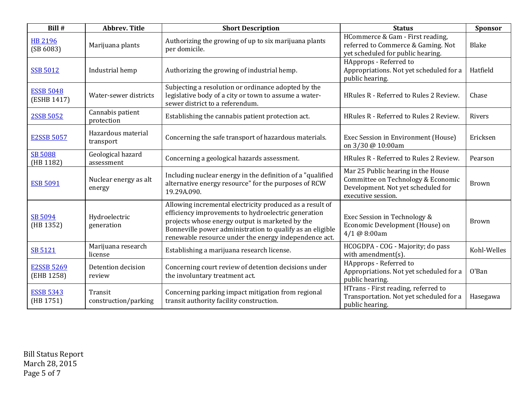| Bill #                          | <b>Abbrev. Title</b>            | <b>Short Description</b>                                                                                                                                                                                                                                                                 | <b>Status</b>                                                                                                                        | Sponsor      |
|---------------------------------|---------------------------------|------------------------------------------------------------------------------------------------------------------------------------------------------------------------------------------------------------------------------------------------------------------------------------------|--------------------------------------------------------------------------------------------------------------------------------------|--------------|
| <b>HB 2196</b><br>(SB 6083)     | Marijuana plants                | Authorizing the growing of up to six marijuana plants<br>per domicile.                                                                                                                                                                                                                   | HCommerce & Gam - First reading,<br>referred to Commerce & Gaming. Not<br>yet scheduled for public hearing.                          | <b>Blake</b> |
| <b>SSB 5012</b>                 | Industrial hemp                 | Authorizing the growing of industrial hemp.                                                                                                                                                                                                                                              | HApprops - Referred to<br>Appropriations. Not yet scheduled for a<br>public hearing.                                                 | Hatfield     |
| <b>ESSB 5048</b><br>(ESHB 1417) | Water-sewer districts           | Subjecting a resolution or ordinance adopted by the<br>legislative body of a city or town to assume a water-<br>sewer district to a referendum.                                                                                                                                          | HRules R - Referred to Rules 2 Review.                                                                                               | Chase        |
| 2SSB 5052                       | Cannabis patient<br>protection  | Establishing the cannabis patient protection act.                                                                                                                                                                                                                                        | HRules R - Referred to Rules 2 Review.                                                                                               | Rivers       |
| <b>E2SSB 5057</b>               | Hazardous material<br>transport | Concerning the safe transport of hazardous materials.                                                                                                                                                                                                                                    | Exec Session in Environment (House)<br>on 3/30 @ 10:00am                                                                             | Ericksen     |
| <b>SB 5088</b><br>(HB 1182)     | Geological hazard<br>assessment | Concerning a geological hazards assessment.                                                                                                                                                                                                                                              | HRules R - Referred to Rules 2 Review.                                                                                               | Pearson      |
| <b>ESB 5091</b>                 | Nuclear energy as alt<br>energy | Including nuclear energy in the definition of a "qualified<br>alternative energy resource" for the purposes of RCW<br>19.29A.090.                                                                                                                                                        | Mar 25 Public hearing in the House<br>Committee on Technology & Economic<br>Development. Not yet scheduled for<br>executive session. | <b>Brown</b> |
| SB 5094<br>(HB 1352)            | Hydroelectric<br>generation     | Allowing incremental electricity produced as a result of<br>efficiency improvements to hydroelectric generation<br>projects whose energy output is marketed by the<br>Bonneville power administration to qualify as an eligible<br>renewable resource under the energy independence act. | Exec Session in Technology &<br>Economic Development (House) on<br>4/1 @ 8:00am                                                      | <b>Brown</b> |
| SB 5121                         | Marijuana research<br>license   | Establishing a marijuana research license.                                                                                                                                                                                                                                               | HCOGDPA - COG - Majority; do pass<br>with amendment(s).                                                                              | Kohl-Welles  |
| <b>E2SSB 5269</b><br>(EHB 1258) | Detention decision<br>review    | Concerning court review of detention decisions under<br>the involuntary treatment act.                                                                                                                                                                                                   | HApprops - Referred to<br>Appropriations. Not yet scheduled for a<br>public hearing.                                                 | O'Ban        |
| <b>ESSB 5343</b><br>(HB 1751)   | Transit<br>construction/parking | Concerning parking impact mitigation from regional<br>transit authority facility construction.                                                                                                                                                                                           | HTrans - First reading, referred to<br>Transportation. Not yet scheduled for a<br>public hearing.                                    | Hasegawa     |

Bill Status Report March 28, 2015 Page 5 of 7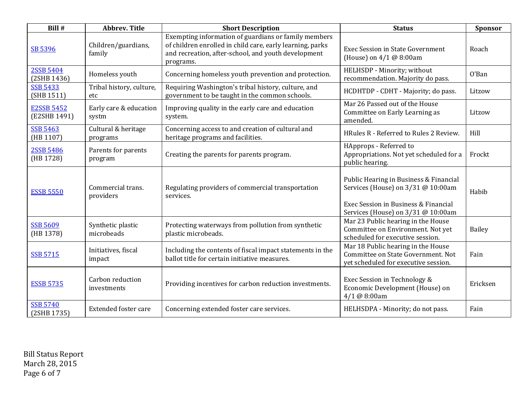| Bill #                            | <b>Abbrev. Title</b>            | <b>Short Description</b>                                                                                                                                                              | <b>Status</b>                                                                                                                                              | Sponsor       |
|-----------------------------------|---------------------------------|---------------------------------------------------------------------------------------------------------------------------------------------------------------------------------------|------------------------------------------------------------------------------------------------------------------------------------------------------------|---------------|
| SB 5396                           | Children/guardians,<br>family   | Exempting information of guardians or family members<br>of children enrolled in child care, early learning, parks<br>and recreation, after-school, and youth development<br>programs. | <b>Exec Session in State Government</b><br>(House) on 4/1 @ 8:00am                                                                                         | Roach         |
| 2SSB 5404<br>(2SHB 1436)          | Homeless youth                  | Concerning homeless youth prevention and protection.                                                                                                                                  | HELHSDP - Minority; without<br>recommendation. Majority do pass.                                                                                           | O'Ban         |
| <b>SSB 5433</b><br>(SHB 1511)     | Tribal history, culture,<br>etc | Requiring Washington's tribal history, culture, and<br>government to be taught in the common schools.                                                                                 | HCDHTDP - CDHT - Majority; do pass.                                                                                                                        | Litzow        |
| <b>E2SSB 5452</b><br>(E2SHB 1491) | Early care & education<br>systm | Improving quality in the early care and education<br>system.                                                                                                                          | Mar 26 Passed out of the House<br>Committee on Early Learning as<br>amended.                                                                               | Litzow        |
| <b>SSB 5463</b><br>(HB 1107)      | Cultural & heritage<br>programs | Concerning access to and creation of cultural and<br>heritage programs and facilities.                                                                                                | HRules R - Referred to Rules 2 Review.                                                                                                                     | Hill          |
| <b>2SSB 5486</b><br>(HB 1728)     | Parents for parents<br>program  | Creating the parents for parents program.                                                                                                                                             | HApprops - Referred to<br>Appropriations. Not yet scheduled for a<br>public hearing.                                                                       | Frockt        |
| <b>ESSB 5550</b>                  | Commercial trans.<br>providers  | Regulating providers of commercial transportation<br>services.                                                                                                                        | Public Hearing in Business & Financial<br>Services (House) on 3/31 @ 10:00am<br>Exec Session in Business & Financial<br>Services (House) on 3/31 @ 10:00am | Habib         |
| <b>SSB 5609</b><br>(HB 1378)      | Synthetic plastic<br>microbeads | Protecting waterways from pollution from synthetic<br>plastic microbeads.                                                                                                             | Mar 23 Public hearing in the House<br>Committee on Environment. Not yet<br>scheduled for executive session.                                                | <b>Bailey</b> |
| <b>SSB 5715</b>                   | Initiatives, fiscal<br>impact   | Including the contents of fiscal impact statements in the<br>ballot title for certain initiative measures.                                                                            | Mar 18 Public hearing in the House<br>Committee on State Government. Not<br>yet scheduled for executive session.                                           | Fain          |
| <b>ESSB 5735</b>                  | Carbon reduction<br>investments | Providing incentives for carbon reduction investments.                                                                                                                                | Exec Session in Technology &<br>Economic Development (House) on<br>4/1 @ 8:00am                                                                            | Ericksen      |
| <b>SSB 5740</b><br>(2SHB 1735)    | Extended foster care            | Concerning extended foster care services.                                                                                                                                             | HELHSDPA - Minority; do not pass.                                                                                                                          | Fain          |

Bill Status Report March 28, 2015 Page 6 of 7